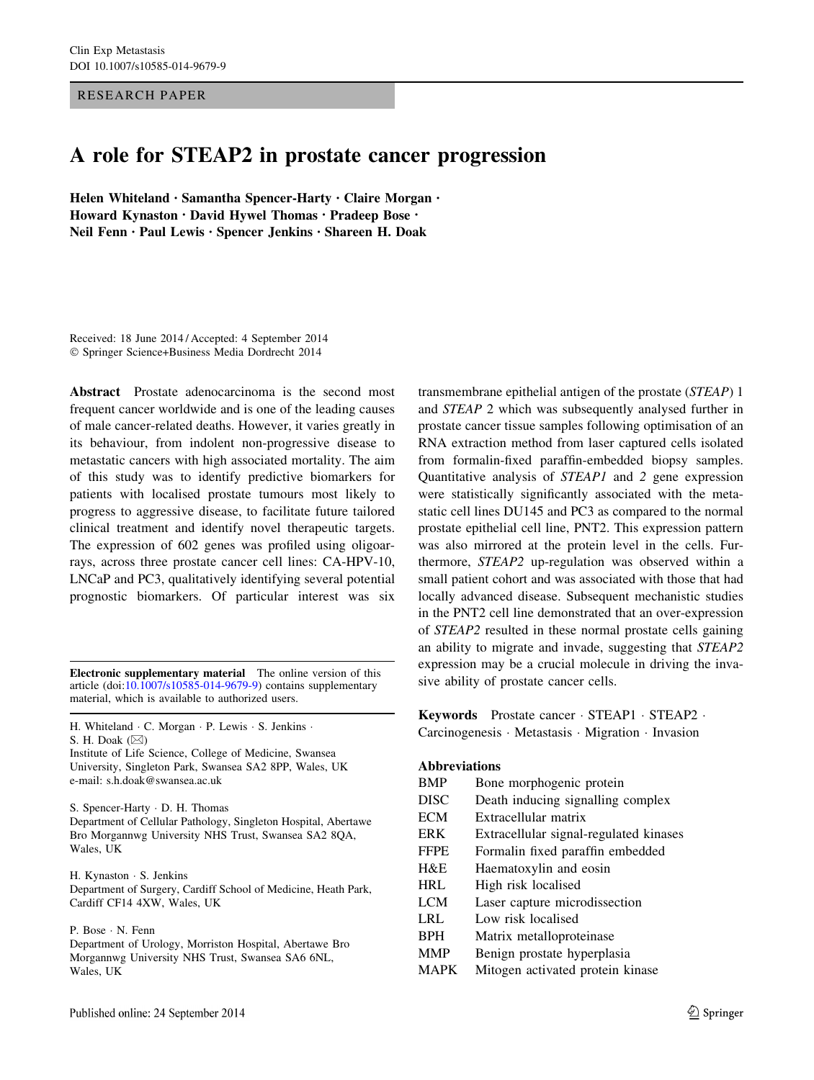#### RESEARCH PAPER

# A role for STEAP2 in prostate cancer progression

Helen Whiteland • Samantha Spencer-Harty • Claire Morgan • Howard Kynaston • David Hywel Thomas • Pradeep Bose • Neil Fenn • Paul Lewis • Spencer Jenkins • Shareen H. Doak

Received: 18 June 2014 / Accepted: 4 September 2014 - Springer Science+Business Media Dordrecht 2014

Abstract Prostate adenocarcinoma is the second most frequent cancer worldwide and is one of the leading causes of male cancer-related deaths. However, it varies greatly in its behaviour, from indolent non-progressive disease to metastatic cancers with high associated mortality. The aim of this study was to identify predictive biomarkers for patients with localised prostate tumours most likely to progress to aggressive disease, to facilitate future tailored clinical treatment and identify novel therapeutic targets. The expression of 602 genes was profiled using oligoarrays, across three prostate cancer cell lines: CA-HPV-10, LNCaP and PC3, qualitatively identifying several potential prognostic biomarkers. Of particular interest was six

Electronic supplementary material The online version of this article (doi:[10.1007/s10585-014-9679-9\)](http://dx.doi.org/10.1007/s10585-014-9679-9) contains supplementary material, which is available to authorized users.

H. Whiteland · C. Morgan · P. Lewis · S. Jenkins · S. H. Doak  $(\boxtimes)$ 

Institute of Life Science, College of Medicine, Swansea University, Singleton Park, Swansea SA2 8PP, Wales, UK e-mail: s.h.doak@swansea.ac.uk

S. Spencer-Harty - D. H. Thomas

Department of Cellular Pathology, Singleton Hospital, Abertawe Bro Morgannwg University NHS Trust, Swansea SA2 8QA, Wales, UK

H. Kynaston - S. Jenkins Department of Surgery, Cardiff School of Medicine, Heath Park, Cardiff CF14 4XW, Wales, UK

P. Bose - N. Fenn

Department of Urology, Morriston Hospital, Abertawe Bro Morgannwg University NHS Trust, Swansea SA6 6NL, Wales, UK

Published online: 24 September 2014

transmembrane epithelial antigen of the prostate (STEAP) 1 and STEAP 2 which was subsequently analysed further in prostate cancer tissue samples following optimisation of an RNA extraction method from laser captured cells isolated from formalin-fixed paraffin-embedded biopsy samples. Quantitative analysis of STEAP1 and 2 gene expression were statistically significantly associated with the metastatic cell lines DU145 and PC3 as compared to the normal prostate epithelial cell line, PNT2. This expression pattern was also mirrored at the protein level in the cells. Furthermore, STEAP2 up-regulation was observed within a small patient cohort and was associated with those that had locally advanced disease. Subsequent mechanistic studies in the PNT2 cell line demonstrated that an over-expression of STEAP2 resulted in these normal prostate cells gaining an ability to migrate and invade, suggesting that STEAP2 expression may be a crucial molecule in driving the invasive ability of prostate cancer cells.

Keywords Prostate cancer - STEAP1 - STEAP2 - Carcinogenesis - Metastasis - Migration - Invasion

#### Abbreviations

| <b>BMP</b>  | Bone morphogenic protein               |
|-------------|----------------------------------------|
| <b>DISC</b> | Death inducing signalling complex      |
| <b>ECM</b>  | Extracellular matrix                   |
| <b>ERK</b>  | Extracellular signal-regulated kinases |
| <b>FFPE</b> | Formalin fixed paraffin embedded       |
| H&E         | Haematoxylin and eosin                 |
| <b>HRL</b>  | High risk localised                    |
| <b>LCM</b>  | Laser capture microdissection          |
| LRL         | Low risk localised                     |
| <b>BPH</b>  | Matrix metalloproteinase               |
| <b>MMP</b>  | Benign prostate hyperplasia            |
| <b>MAPK</b> | Mitogen activated protein kinase       |
|             |                                        |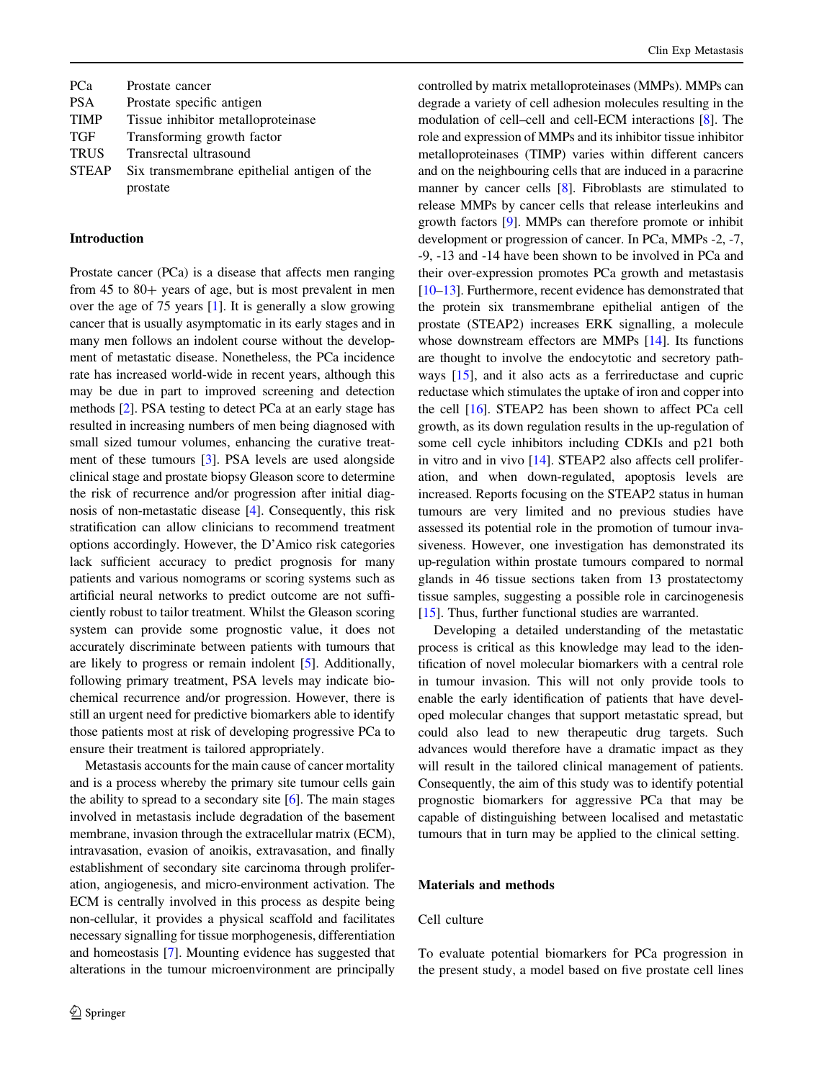| <b>PCa</b>   | Prostate cancer                             |
|--------------|---------------------------------------------|
| <b>PSA</b>   | Prostate specific antigen                   |
| <b>TIMP</b>  | Tissue inhibitor metalloproteinase          |
| TGF          | Transforming growth factor                  |
| <b>TRUS</b>  | Transrectal ultrasound                      |
| <b>STEAP</b> | Six transmembrane epithelial antigen of the |
|              | prostate                                    |

## Introduction

Prostate cancer (PCa) is a disease that affects men ranging from  $45$  to  $80+$  years of age, but is most prevalent in men over the age of 75 years [\[1\]](#page-10-0). It is generally a slow growing cancer that is usually asymptomatic in its early stages and in many men follows an indolent course without the development of metastatic disease. Nonetheless, the PCa incidence rate has increased world-wide in recent years, although this may be due in part to improved screening and detection methods [\[2](#page-10-0)]. PSA testing to detect PCa at an early stage has resulted in increasing numbers of men being diagnosed with small sized tumour volumes, enhancing the curative treatment of these tumours [\[3](#page-10-0)]. PSA levels are used alongside clinical stage and prostate biopsy Gleason score to determine the risk of recurrence and/or progression after initial diagnosis of non-metastatic disease [[4\]](#page-10-0). Consequently, this risk stratification can allow clinicians to recommend treatment options accordingly. However, the D'Amico risk categories lack sufficient accuracy to predict prognosis for many patients and various nomograms or scoring systems such as artificial neural networks to predict outcome are not sufficiently robust to tailor treatment. Whilst the Gleason scoring system can provide some prognostic value, it does not accurately discriminate between patients with tumours that are likely to progress or remain indolent [\[5\]](#page-10-0). Additionally, following primary treatment, PSA levels may indicate biochemical recurrence and/or progression. However, there is still an urgent need for predictive biomarkers able to identify those patients most at risk of developing progressive PCa to ensure their treatment is tailored appropriately.

Metastasis accounts for the main cause of cancer mortality and is a process whereby the primary site tumour cells gain the ability to spread to a secondary site  $[6]$  $[6]$ . The main stages involved in metastasis include degradation of the basement membrane, invasion through the extracellular matrix (ECM), intravasation, evasion of anoikis, extravasation, and finally establishment of secondary site carcinoma through proliferation, angiogenesis, and micro-environment activation. The ECM is centrally involved in this process as despite being non-cellular, it provides a physical scaffold and facilitates necessary signalling for tissue morphogenesis, differentiation and homeostasis [[7\]](#page-10-0). Mounting evidence has suggested that alterations in the tumour microenvironment are principally controlled by matrix metalloproteinases (MMPs). MMPs can degrade a variety of cell adhesion molecules resulting in the modulation of cell–cell and cell-ECM interactions [[8\]](#page-10-0). The role and expression of MMPs and its inhibitor tissue inhibitor metalloproteinases (TIMP) varies within different cancers and on the neighbouring cells that are induced in a paracrine manner by cancer cells [\[8\]](#page-10-0). Fibroblasts are stimulated to release MMPs by cancer cells that release interleukins and growth factors [[9\]](#page-10-0). MMPs can therefore promote or inhibit development or progression of cancer. In PCa, MMPs -2, -7, -9, -13 and -14 have been shown to be involved in PCa and their over-expression promotes PCa growth and metastasis [\[10–13\]](#page-10-0). Furthermore, recent evidence has demonstrated that the protein six transmembrane epithelial antigen of the prostate (STEAP2) increases ERK signalling, a molecule whose downstream effectors are MMPs [[14\]](#page-10-0). Its functions are thought to involve the endocytotic and secretory pathways [[15\]](#page-10-0), and it also acts as a ferrireductase and cupric reductase which stimulates the uptake of iron and copper into the cell [[16](#page-10-0)]. STEAP2 has been shown to affect PCa cell growth, as its down regulation results in the up-regulation of some cell cycle inhibitors including CDKIs and p21 both in vitro and in vivo [\[14\]](#page-10-0). STEAP2 also affects cell proliferation, and when down-regulated, apoptosis levels are increased. Reports focusing on the STEAP2 status in human tumours are very limited and no previous studies have assessed its potential role in the promotion of tumour invasiveness. However, one investigation has demonstrated its up-regulation within prostate tumours compared to normal glands in 46 tissue sections taken from 13 prostatectomy tissue samples, suggesting a possible role in carcinogenesis [\[15](#page-10-0)]. Thus, further functional studies are warranted.

Developing a detailed understanding of the metastatic process is critical as this knowledge may lead to the identification of novel molecular biomarkers with a central role in tumour invasion. This will not only provide tools to enable the early identification of patients that have developed molecular changes that support metastatic spread, but could also lead to new therapeutic drug targets. Such advances would therefore have a dramatic impact as they will result in the tailored clinical management of patients. Consequently, the aim of this study was to identify potential prognostic biomarkers for aggressive PCa that may be capable of distinguishing between localised and metastatic tumours that in turn may be applied to the clinical setting.

#### Materials and methods

#### Cell culture

To evaluate potential biomarkers for PCa progression in the present study, a model based on five prostate cell lines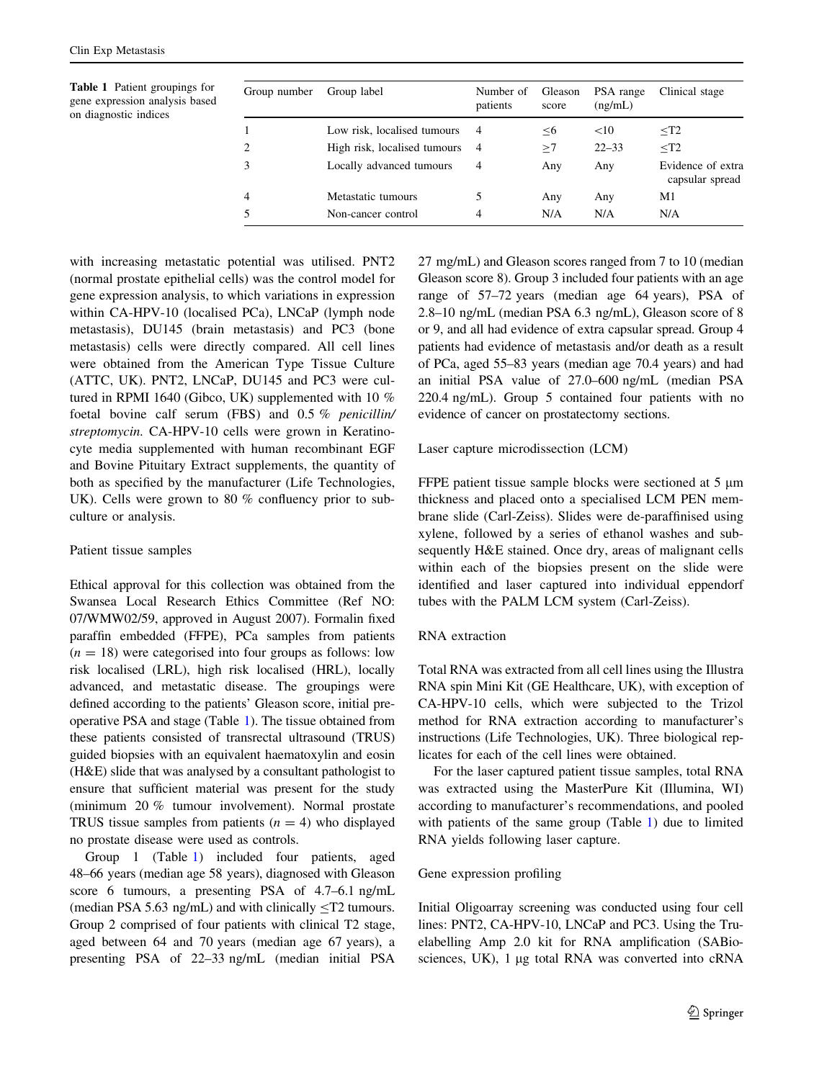Table 1 Patient groupings for gene expression analysis based on diagnostic indices

| Group number | Group label                  | Number of<br>patients | Gleason<br>score | PSA range<br>(ng/mL) | Clinical stage                       |
|--------------|------------------------------|-----------------------|------------------|----------------------|--------------------------------------|
|              | Low risk, localised tumours  | $\overline{4}$        | $<$ 6            | <10                  | $<$ T2                               |
| 2            | High risk, localised tumours | $\overline{4}$        | >7               | $22 - 33$            | $<$ T2                               |
|              | Locally advanced tumours     | 4                     | Any              | Any                  | Evidence of extra<br>capsular spread |
| 4            | Metastatic tumours           | 5                     | Any              | Any                  | M1                                   |
|              | Non-cancer control           | 4                     | N/A              | N/A                  | N/A                                  |

with increasing metastatic potential was utilised. PNT2 (normal prostate epithelial cells) was the control model for gene expression analysis, to which variations in expression within CA-HPV-10 (localised PCa), LNCaP (lymph node metastasis), DU145 (brain metastasis) and PC3 (bone metastasis) cells were directly compared. All cell lines were obtained from the American Type Tissue Culture (ATTC, UK). PNT2, LNCaP, DU145 and PC3 were cultured in RPMI 1640 (Gibco, UK) supplemented with 10 % foetal bovine calf serum (FBS) and 0.5 % penicillin/ streptomycin. CA-HPV-10 cells were grown in Keratinocyte media supplemented with human recombinant EGF and Bovine Pituitary Extract supplements, the quantity of both as specified by the manufacturer (Life Technologies, UK). Cells were grown to 80 % confluency prior to subculture or analysis.

## Patient tissue samples

Ethical approval for this collection was obtained from the Swansea Local Research Ethics Committee (Ref NO: 07/WMW02/59, approved in August 2007). Formalin fixed paraffin embedded (FFPE), PCa samples from patients  $(n = 18)$  were categorised into four groups as follows: low risk localised (LRL), high risk localised (HRL), locally advanced, and metastatic disease. The groupings were defined according to the patients' Gleason score, initial preoperative PSA and stage (Table 1). The tissue obtained from these patients consisted of transrectal ultrasound (TRUS) guided biopsies with an equivalent haematoxylin and eosin (H&E) slide that was analysed by a consultant pathologist to ensure that sufficient material was present for the study (minimum 20 % tumour involvement). Normal prostate TRUS tissue samples from patients  $(n = 4)$  who displayed no prostate disease were used as controls.

Group 1 (Table 1) included four patients, aged 48–66 years (median age 58 years), diagnosed with Gleason score 6 tumours, a presenting PSA of 4.7–6.1 ng/mL (median PSA 5.63 ng/mL) and with clinically  $\leq$ T2 tumours. Group 2 comprised of four patients with clinical T2 stage, aged between 64 and 70 years (median age 67 years), a presenting PSA of 22–33 ng/mL (median initial PSA 27 mg/mL) and Gleason scores ranged from 7 to 10 (median Gleason score 8). Group 3 included four patients with an age range of 57–72 years (median age 64 years), PSA of 2.8–10 ng/mL (median PSA 6.3 ng/mL), Gleason score of 8 or 9, and all had evidence of extra capsular spread. Group 4 patients had evidence of metastasis and/or death as a result of PCa, aged 55–83 years (median age 70.4 years) and had an initial PSA value of 27.0–600 ng/mL (median PSA 220.4 ng/mL). Group 5 contained four patients with no evidence of cancer on prostatectomy sections.

Laser capture microdissection (LCM)

FFPE patient tissue sample blocks were sectioned at 5  $\mu$ m thickness and placed onto a specialised LCM PEN membrane slide (Carl-Zeiss). Slides were de-paraffinised using xylene, followed by a series of ethanol washes and subsequently H&E stained. Once dry, areas of malignant cells within each of the biopsies present on the slide were identified and laser captured into individual eppendorf tubes with the PALM LCM system (Carl-Zeiss).

# RNA extraction

Total RNA was extracted from all cell lines using the Illustra RNA spin Mini Kit (GE Healthcare, UK), with exception of CA-HPV-10 cells, which were subjected to the Trizol method for RNA extraction according to manufacturer's instructions (Life Technologies, UK). Three biological replicates for each of the cell lines were obtained.

For the laser captured patient tissue samples, total RNA was extracted using the MasterPure Kit (Illumina, WI) according to manufacturer's recommendations, and pooled with patients of the same group (Table 1) due to limited RNA yields following laser capture.

# Gene expression profiling

Initial Oligoarray screening was conducted using four cell lines: PNT2, CA-HPV-10, LNCaP and PC3. Using the Truelabelling Amp 2.0 kit for RNA amplification (SABiosciences, UK), 1 µg total RNA was converted into cRNA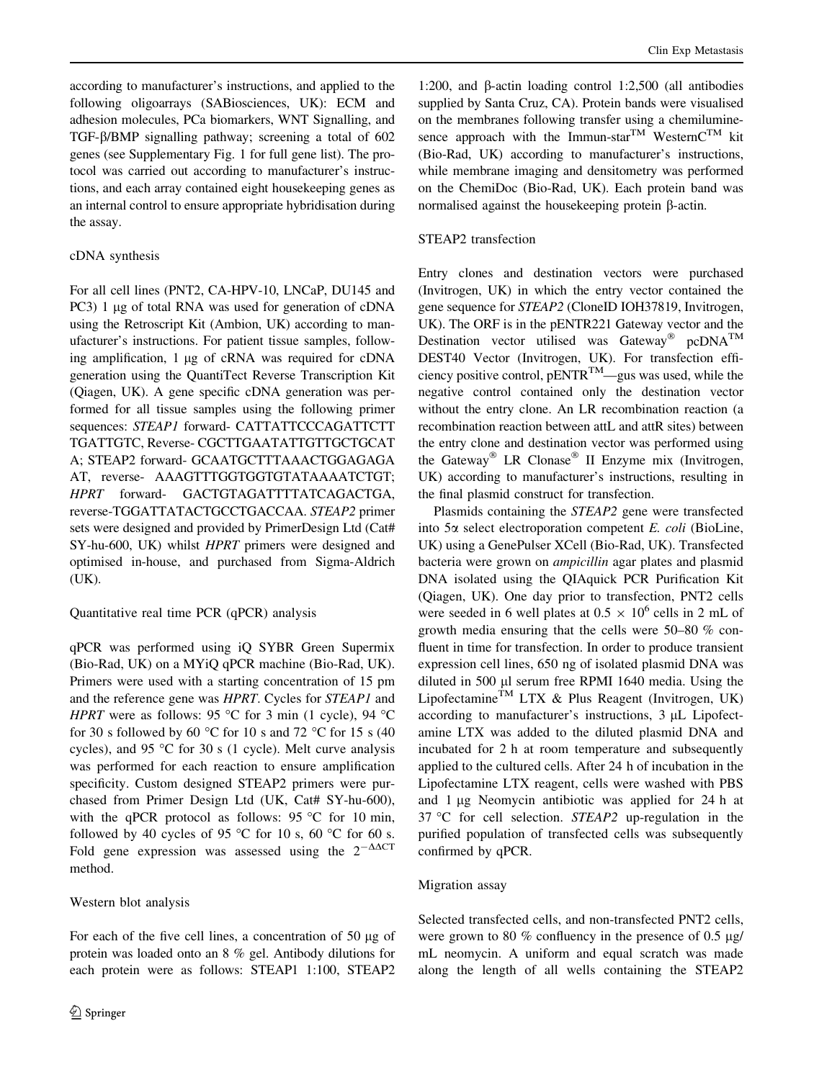according to manufacturer's instructions, and applied to the following oligoarrays (SABiosciences, UK): ECM and adhesion molecules, PCa biomarkers, WNT Signalling, and TGF-b/BMP signalling pathway; screening a total of 602 genes (see Supplementary Fig. 1 for full gene list). The protocol was carried out according to manufacturer's instructions, and each array contained eight housekeeping genes as an internal control to ensure appropriate hybridisation during the assay.

## cDNA synthesis

For all cell lines (PNT2, CA-HPV-10, LNCaP, DU145 and PC3) 1 µg of total RNA was used for generation of cDNA using the Retroscript Kit (Ambion, UK) according to manufacturer's instructions. For patient tissue samples, following amplification,  $1 \mu$ g of cRNA was required for cDNA generation using the QuantiTect Reverse Transcription Kit (Qiagen, UK). A gene specific cDNA generation was performed for all tissue samples using the following primer sequences: STEAP1 forward- CATTATTCCCAGATTCTT TGATTGTC, Reverse- CGCTTGAATATTGTTGCTGCAT A; STEAP2 forward- GCAATGCTTTAAACTGGAGAGA AT, reverse- AAAGTTTGGTGGTGTATAAAATCTGT; HPRT forward- GACTGTAGATTTTATCAGACTGA, reverse-TGGATTATACTGCCTGACCAA. STEAP2 primer sets were designed and provided by PrimerDesign Ltd (Cat# SY-hu-600, UK) whilst HPRT primers were designed and optimised in-house, and purchased from Sigma-Aldrich (UK).

## Quantitative real time PCR (qPCR) analysis

qPCR was performed using iQ SYBR Green Supermix (Bio-Rad, UK) on a MYiQ qPCR machine (Bio-Rad, UK). Primers were used with a starting concentration of 15 pm and the reference gene was HPRT. Cycles for STEAP1 and HPRT were as follows: 95 °C for 3 min (1 cycle), 94 °C for 30 s followed by 60 °C for 10 s and 72 °C for 15 s (40 cycles), and 95 °C for 30 s (1 cycle). Melt curve analysis was performed for each reaction to ensure amplification specificity. Custom designed STEAP2 primers were purchased from Primer Design Ltd (UK, Cat# SY-hu-600), with the qPCR protocol as follows: 95  $\degree$ C for 10 min, followed by 40 cycles of 95 °C for 10 s, 60 °C for 60 s. Fold gene expression was assessed using the  $2^{-\Delta\Delta CT}$ method.

## Western blot analysis

For each of the five cell lines, a concentration of  $50 \mu g$  of protein was loaded onto an 8 % gel. Antibody dilutions for each protein were as follows: STEAP1 1:100, STEAP2

1:200, and b-actin loading control 1:2,500 (all antibodies supplied by Santa Cruz, CA). Protein bands were visualised on the membranes following transfer using a chemiluminesence approach with the Immun-star<sup>TM</sup> WesternC<sup>TM</sup> kit (Bio-Rad, UK) according to manufacturer's instructions, while membrane imaging and densitometry was performed on the ChemiDoc (Bio-Rad, UK). Each protein band was normalised against the house keeping protein  $\beta$ -actin.

## STEAP2 transfection

Entry clones and destination vectors were purchased (Invitrogen, UK) in which the entry vector contained the gene sequence for STEAP2 (CloneID IOH37819, Invitrogen, UK). The ORF is in the pENTR221 Gateway vector and the Destination vector utilised was Gateway<sup>®</sup> pcDNA<sup>TM</sup> DEST40 Vector (Invitrogen, UK). For transfection efficiency positive control,  $pENTR^{TM}$ —gus was used, while the negative control contained only the destination vector without the entry clone. An LR recombination reaction (a recombination reaction between attL and attR sites) between the entry clone and destination vector was performed using the Gateway<sup>®</sup> LR Clonase<sup>®</sup> II Enzyme mix (Invitrogen, UK) according to manufacturer's instructions, resulting in the final plasmid construct for transfection.

Plasmids containing the STEAP2 gene were transfected into 5a select electroporation competent E. coli (BioLine, UK) using a GenePulser XCell (Bio-Rad, UK). Transfected bacteria were grown on ampicillin agar plates and plasmid DNA isolated using the QIAquick PCR Purification Kit (Qiagen, UK). One day prior to transfection, PNT2 cells were seeded in 6 well plates at  $0.5 \times 10^6$  cells in 2 mL of growth media ensuring that the cells were 50–80 % confluent in time for transfection. In order to produce transient expression cell lines, 650 ng of isolated plasmid DNA was diluted in 500 µl serum free RPMI 1640 media. Using the Lipofectamine<sup>TM</sup> LTX & Plus Reagent (Invitrogen, UK) according to manufacturer's instructions,  $3 \mu L$  Lipofectamine LTX was added to the diluted plasmid DNA and incubated for 2 h at room temperature and subsequently applied to the cultured cells. After 24 h of incubation in the Lipofectamine LTX reagent, cells were washed with PBS and 1 µg Neomycin antibiotic was applied for 24 h at  $37^{\circ}$ C for cell selection. STEAP2 up-regulation in the purified population of transfected cells was subsequently confirmed by qPCR.

## Migration assay

Selected transfected cells, and non-transfected PNT2 cells, were grown to 80 % confluency in the presence of 0.5  $\mu$ g/ mL neomycin. A uniform and equal scratch was made along the length of all wells containing the STEAP2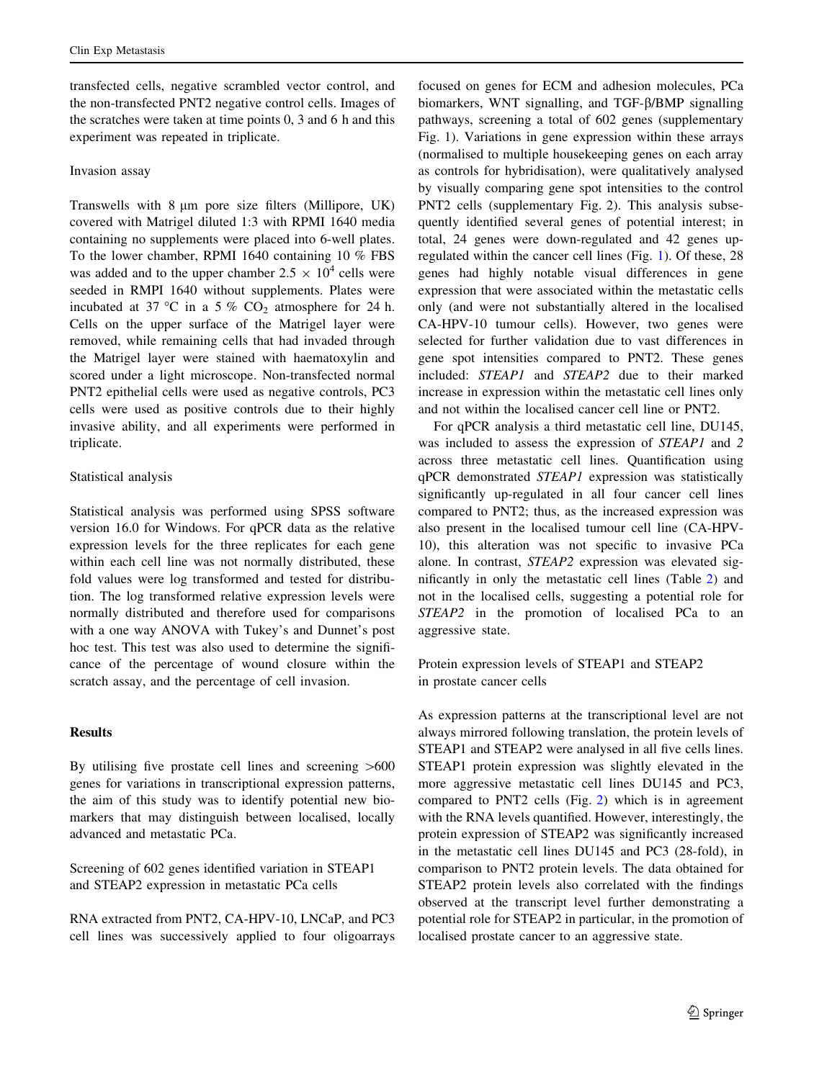transfected cells, negative scrambled vector control, and the non-transfected PNT2 negative control cells. Images of the scratches were taken at time points 0, 3 and 6 h and this experiment was repeated in triplicate.

#### Invasion assay

Transwells with  $8 \mu m$  pore size filters (Millipore, UK) covered with Matrigel diluted 1:3 with RPMI 1640 media containing no supplements were placed into 6-well plates. To the lower chamber, RPMI 1640 containing 10 % FBS was added and to the upper chamber  $2.5 \times 10^4$  cells were seeded in RMPI 1640 without supplements. Plates were incubated at 37 °C in a 5 %  $CO<sub>2</sub>$  atmosphere for 24 h. Cells on the upper surface of the Matrigel layer were removed, while remaining cells that had invaded through the Matrigel layer were stained with haematoxylin and scored under a light microscope. Non-transfected normal PNT2 epithelial cells were used as negative controls, PC3 cells were used as positive controls due to their highly invasive ability, and all experiments were performed in triplicate.

## Statistical analysis

Statistical analysis was performed using SPSS software version 16.0 for Windows. For qPCR data as the relative expression levels for the three replicates for each gene within each cell line was not normally distributed, these fold values were log transformed and tested for distribution. The log transformed relative expression levels were normally distributed and therefore used for comparisons with a one way ANOVA with Tukey's and Dunnet's post hoc test. This test was also used to determine the significance of the percentage of wound closure within the scratch assay, and the percentage of cell invasion.

## **Results**

By utilising five prostate cell lines and screening  $>600$ genes for variations in transcriptional expression patterns, the aim of this study was to identify potential new biomarkers that may distinguish between localised, locally advanced and metastatic PCa.

Screening of 602 genes identified variation in STEAP1 and STEAP2 expression in metastatic PCa cells

RNA extracted from PNT2, CA-HPV-10, LNCaP, and PC3 cell lines was successively applied to four oligoarrays focused on genes for ECM and adhesion molecules, PCa biomarkers, WNT signalling, and TGF- $\beta$ /BMP signalling pathways, screening a total of 602 genes (supplementary Fig. 1). Variations in gene expression within these arrays (normalised to multiple housekeeping genes on each array as controls for hybridisation), were qualitatively analysed by visually comparing gene spot intensities to the control PNT2 cells (supplementary Fig. 2). This analysis subsequently identified several genes of potential interest; in total, 24 genes were down-regulated and 42 genes upregulated within the cancer cell lines (Fig. [1](#page-5-0)). Of these, 28 genes had highly notable visual differences in gene expression that were associated within the metastatic cells only (and were not substantially altered in the localised CA-HPV-10 tumour cells). However, two genes were selected for further validation due to vast differences in gene spot intensities compared to PNT2. These genes included: STEAP1 and STEAP2 due to their marked increase in expression within the metastatic cell lines only and not within the localised cancer cell line or PNT2.

For qPCR analysis a third metastatic cell line, DU145, was included to assess the expression of STEAP1 and 2 across three metastatic cell lines. Quantification using qPCR demonstrated STEAP1 expression was statistically significantly up-regulated in all four cancer cell lines compared to PNT2; thus, as the increased expression was also present in the localised tumour cell line (CA-HPV-10), this alteration was not specific to invasive PCa alone. In contrast, STEAP2 expression was elevated significantly in only the metastatic cell lines (Table [2\)](#page-5-0) and not in the localised cells, suggesting a potential role for STEAP2 in the promotion of localised PCa to an aggressive state.

Protein expression levels of STEAP1 and STEAP2 in prostate cancer cells

As expression patterns at the transcriptional level are not always mirrored following translation, the protein levels of STEAP1 and STEAP2 were analysed in all five cells lines. STEAP1 protein expression was slightly elevated in the more aggressive metastatic cell lines DU145 and PC3, compared to PNT2 cells (Fig. [2\)](#page-5-0) which is in agreement with the RNA levels quantified. However, interestingly, the protein expression of STEAP2 was significantly increased in the metastatic cell lines DU145 and PC3 (28-fold), in comparison to PNT2 protein levels. The data obtained for STEAP2 protein levels also correlated with the findings observed at the transcript level further demonstrating a potential role for STEAP2 in particular, in the promotion of localised prostate cancer to an aggressive state.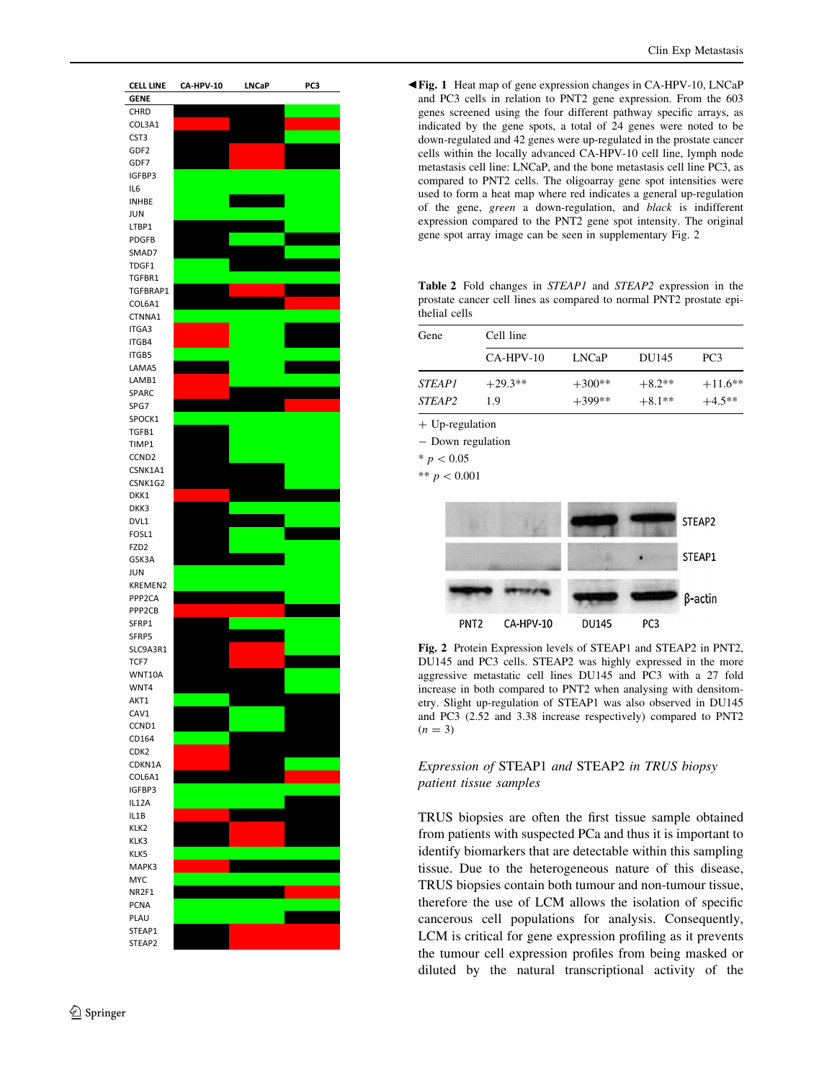<span id="page-5-0"></span>

b Fig. 1 Heat map of gene expression changes in CA-HPV-10, LNCaP and PC3 cells in relation to PNT2 gene expression. From the 603 genes screened using the four different pathway specific arrays, as indicated by the gene spots, a total of 24 genes were noted to be down-regulated and 42 genes were up-regulated in the prostate cancer cells within the locally advanced CA-HPV-10 cell line, lymph node metastasis cell line: LNCaP, and the bone metastasis cell line PC3, as compared to PNT2 cells. The oligoarray gene spot intensities were used to form a heat map where red indicates a general up-regulation of the gene, green a down-regulation, and black is indifferent expression compared to the PNT2 gene spot intensity. The original gene spot array image can be seen in supplementary Fig. 2

Table 2 Fold changes in STEAP1 and STEAP2 expression in the prostate cancer cell lines as compared to normal PNT2 prostate epithelial cells

| Gene          | Cell line   |          |          |                 |  |
|---------------|-------------|----------|----------|-----------------|--|
|               | $CA-HPV-10$ | LNCaP    | DU145    | PC <sub>3</sub> |  |
| <i>STEAP1</i> | $+29.3**$   | $+300**$ | $+8.2**$ | $+11.6**$       |  |
| <i>STEAP2</i> | 19          | $+399**$ | $+8.1**$ | $+4.5**$        |  |

+ Up-regulation

- Down regulation

 $* p < 0.05$ 

\*\*  $p < 0.001$ 



Fig. 2 Protein Expression levels of STEAP1 and STEAP2 in PNT2, DU145 and PC3 cells. STEAP2 was highly expressed in the more aggressive metastatic cell lines DU145 and PC3 with a 27 fold increase in both compared to PNT2 when analysing with densitometry. Slight up-regulation of STEAP1 was also observed in DU145 and PC3 (2.52 and 3.38 increase respectively) compared to PNT2  $(n = 3)$ 

# Expression of STEAP1 and STEAP2 in TRUS biopsy patient tissue samples

TRUS biopsies are often the first tissue sample obtained from patients with suspected PCa and thus it is important to identify biomarkers that are detectable within this sampling tissue. Due to the heterogeneous nature of this disease, TRUS biopsies contain both tumour and non-tumour tissue, therefore the use of LCM allows the isolation of specific cancerous cell populations for analysis. Consequently, LCM is critical for gene expression profiling as it prevents the tumour cell expression profiles from being masked or diluted by the natural transcriptional activity of the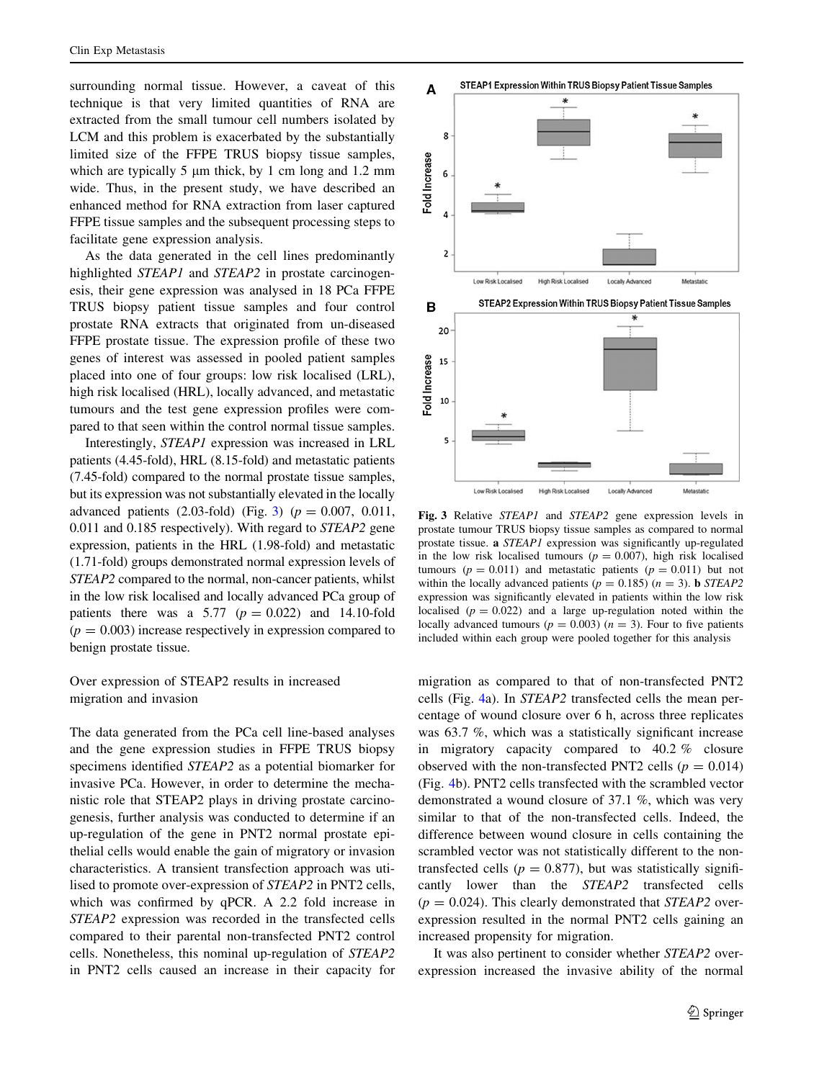surrounding normal tissue. However, a caveat of this technique is that very limited quantities of RNA are extracted from the small tumour cell numbers isolated by LCM and this problem is exacerbated by the substantially limited size of the FFPE TRUS biopsy tissue samples, which are typically 5  $\mu$ m thick, by 1 cm long and 1.2 mm wide. Thus, in the present study, we have described an enhanced method for RNA extraction from laser captured FFPE tissue samples and the subsequent processing steps to facilitate gene expression analysis.

As the data generated in the cell lines predominantly highlighted STEAP1 and STEAP2 in prostate carcinogenesis, their gene expression was analysed in 18 PCa FFPE TRUS biopsy patient tissue samples and four control prostate RNA extracts that originated from un-diseased FFPE prostate tissue. The expression profile of these two genes of interest was assessed in pooled patient samples placed into one of four groups: low risk localised (LRL), high risk localised (HRL), locally advanced, and metastatic tumours and the test gene expression profiles were compared to that seen within the control normal tissue samples.

Interestingly, STEAP1 expression was increased in LRL patients (4.45-fold), HRL (8.15-fold) and metastatic patients (7.45-fold) compared to the normal prostate tissue samples, but its expression was not substantially elevated in the locally advanced patients (2.03-fold) (Fig. 3) ( $p = 0.007$ , 0.011, 0.011 and 0.185 respectively). With regard to STEAP2 gene expression, patients in the HRL (1.98-fold) and metastatic (1.71-fold) groups demonstrated normal expression levels of STEAP2 compared to the normal, non-cancer patients, whilst in the low risk localised and locally advanced PCa group of patients there was a 5.77 ( $p = 0.022$ ) and 14.10-fold  $(p = 0.003)$  increase respectively in expression compared to benign prostate tissue.

Over expression of STEAP2 results in increased migration and invasion

The data generated from the PCa cell line-based analyses and the gene expression studies in FFPE TRUS biopsy specimens identified STEAP2 as a potential biomarker for invasive PCa. However, in order to determine the mechanistic role that STEAP2 plays in driving prostate carcinogenesis, further analysis was conducted to determine if an up-regulation of the gene in PNT2 normal prostate epithelial cells would enable the gain of migratory or invasion characteristics. A transient transfection approach was utilised to promote over-expression of STEAP2 in PNT2 cells, which was confirmed by qPCR. A 2.2 fold increase in STEAP2 expression was recorded in the transfected cells compared to their parental non-transfected PNT2 control cells. Nonetheless, this nominal up-regulation of STEAP2 in PNT2 cells caused an increase in their capacity for



Fig. 3 Relative STEAP1 and STEAP2 gene expression levels in prostate tumour TRUS biopsy tissue samples as compared to normal prostate tissue. a STEAP1 expression was significantly up-regulated in the low risk localised tumours ( $p = 0.007$ ), high risk localised tumours ( $p = 0.011$ ) and metastatic patients ( $p = 0.011$ ) but not within the locally advanced patients ( $p = 0.185$ ) ( $n = 3$ ). **b** STEAP2 expression was significantly elevated in patients within the low risk localised ( $p = 0.022$ ) and a large up-regulation noted within the locally advanced tumours ( $p = 0.003$ ) ( $n = 3$ ). Four to five patients included within each group were pooled together for this analysis

migration as compared to that of non-transfected PNT2 cells (Fig. [4](#page-7-0)a). In STEAP2 transfected cells the mean percentage of wound closure over 6 h, across three replicates was 63.7 %, which was a statistically significant increase in migratory capacity compared to 40.2 % closure observed with the non-transfected PNT2 cells ( $p = 0.014$ ) (Fig. [4b](#page-7-0)). PNT2 cells transfected with the scrambled vector demonstrated a wound closure of 37.1 %, which was very similar to that of the non-transfected cells. Indeed, the difference between wound closure in cells containing the scrambled vector was not statistically different to the nontransfected cells ( $p = 0.877$ ), but was statistically significantly lower than the STEAP2 transfected cells  $(p = 0.024)$ . This clearly demonstrated that *STEAP2* overexpression resulted in the normal PNT2 cells gaining an increased propensity for migration.

It was also pertinent to consider whether STEAP2 overexpression increased the invasive ability of the normal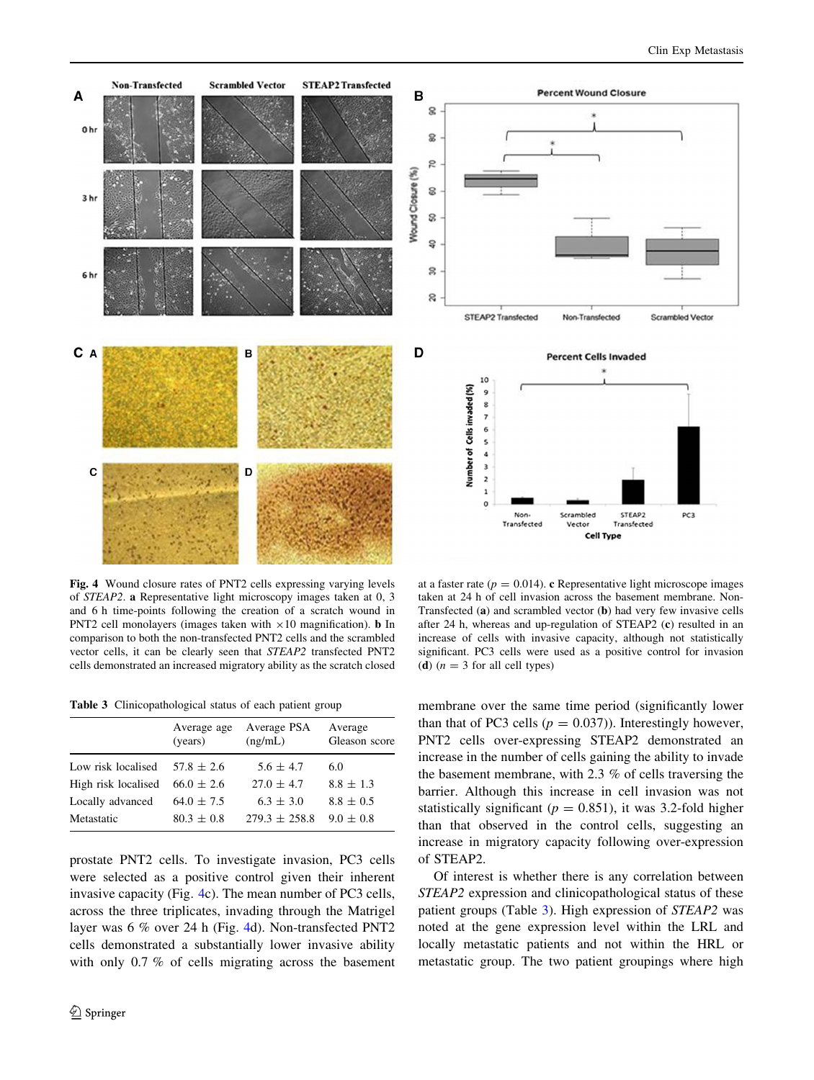<span id="page-7-0"></span>

Fig. 4 Wound closure rates of PNT2 cells expressing varying levels of STEAP2. a Representative light microscopy images taken at 0, 3 and 6 h time-points following the creation of a scratch wound in PNT2 cell monolayers (images taken with  $\times 10$  magnification). **b** In comparison to both the non-transfected PNT2 cells and the scrambled vector cells, it can be clearly seen that STEAP2 transfected PNT2 cells demonstrated an increased migratory ability as the scratch closed

Table 3 Clinicopathological status of each patient group

|                     | Average age<br>(years) | Average PSA<br>(ng/mL) | Average<br>Gleason score |
|---------------------|------------------------|------------------------|--------------------------|
| Low risk localised  | $57.8 \pm 2.6$         | $5.6 \pm 4.7$          | 6.0                      |
| High risk localised | $66.0 \pm 2.6$         | $27.0 \pm 4.7$         | $8.8 \pm 1.3$            |
| Locally advanced    | $64.0 \pm 7.5$         | $6.3 \pm 3.0$          | $8.8 \pm 0.5$            |
| Metastatic          | $80.3 \pm 0.8$         | $279.3 \pm 258.8$      | $9.0 \pm 0.8$            |

prostate PNT2 cells. To investigate invasion, PC3 cells were selected as a positive control given their inherent invasive capacity (Fig. 4c). The mean number of PC3 cells, across the three triplicates, invading through the Matrigel layer was 6 % over 24 h (Fig. 4d). Non-transfected PNT2 cells demonstrated a substantially lower invasive ability with only 0.7 % of cells migrating across the basement

at a faster rate ( $p = 0.014$ ). c Representative light microscope images taken at 24 h of cell invasion across the basement membrane. Non-Transfected (a) and scrambled vector (b) had very few invasive cells after 24 h, whereas and up-regulation of STEAP2 (c) resulted in an increase of cells with invasive capacity, although not statistically significant. PC3 cells were used as a positive control for invasion (d)  $(n = 3$  for all cell types)

membrane over the same time period (significantly lower than that of PC3 cells ( $p = 0.037$ )). Interestingly however, PNT2 cells over-expressing STEAP2 demonstrated an increase in the number of cells gaining the ability to invade the basement membrane, with 2.3 % of cells traversing the barrier. Although this increase in cell invasion was not statistically significant ( $p = 0.851$ ), it was 3.2-fold higher than that observed in the control cells, suggesting an increase in migratory capacity following over-expression of STEAP2.

Of interest is whether there is any correlation between STEAP2 expression and clinicopathological status of these patient groups (Table 3). High expression of STEAP2 was noted at the gene expression level within the LRL and locally metastatic patients and not within the HRL or metastatic group. The two patient groupings where high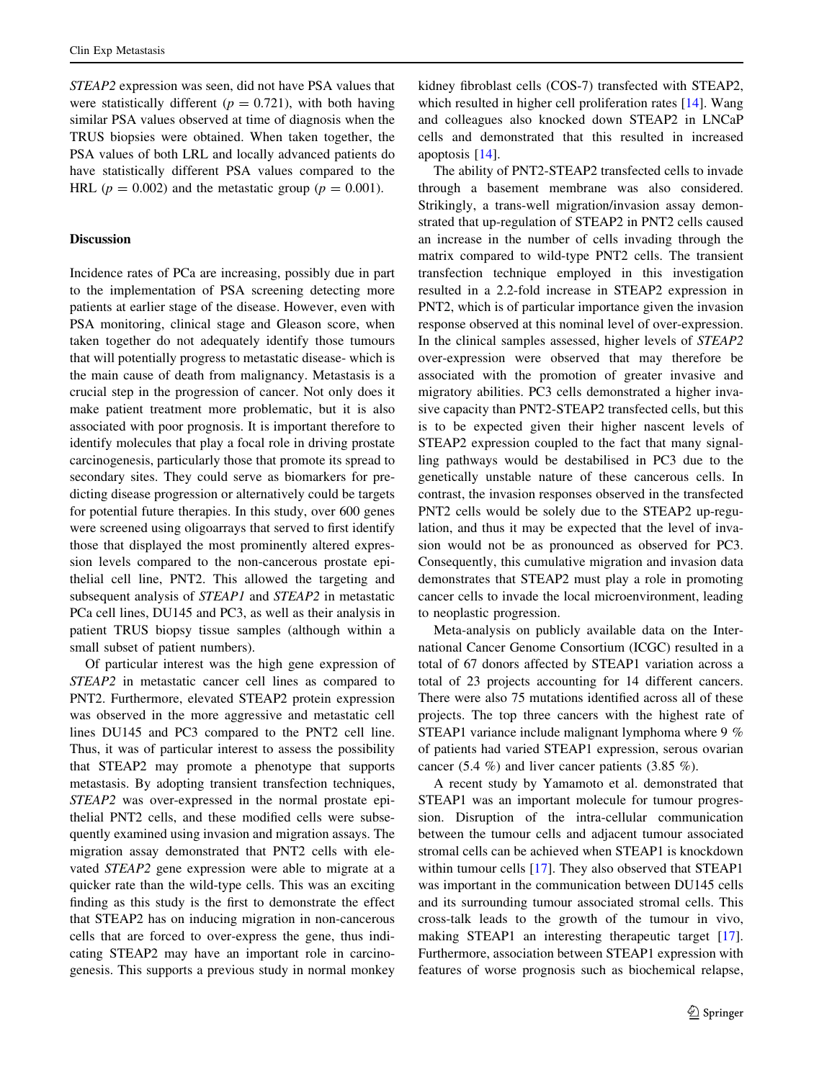STEAP2 expression was seen, did not have PSA values that were statistically different ( $p = 0.721$ ), with both having similar PSA values observed at time of diagnosis when the TRUS biopsies were obtained. When taken together, the PSA values of both LRL and locally advanced patients do have statistically different PSA values compared to the HRL ( $p = 0.002$ ) and the metastatic group ( $p = 0.001$ ).

#### **Discussion**

Incidence rates of PCa are increasing, possibly due in part to the implementation of PSA screening detecting more patients at earlier stage of the disease. However, even with PSA monitoring, clinical stage and Gleason score, when taken together do not adequately identify those tumours that will potentially progress to metastatic disease- which is the main cause of death from malignancy. Metastasis is a crucial step in the progression of cancer. Not only does it make patient treatment more problematic, but it is also associated with poor prognosis. It is important therefore to identify molecules that play a focal role in driving prostate carcinogenesis, particularly those that promote its spread to secondary sites. They could serve as biomarkers for predicting disease progression or alternatively could be targets for potential future therapies. In this study, over 600 genes were screened using oligoarrays that served to first identify those that displayed the most prominently altered expression levels compared to the non-cancerous prostate epithelial cell line, PNT2. This allowed the targeting and subsequent analysis of STEAP1 and STEAP2 in metastatic PCa cell lines, DU145 and PC3, as well as their analysis in patient TRUS biopsy tissue samples (although within a small subset of patient numbers).

Of particular interest was the high gene expression of STEAP2 in metastatic cancer cell lines as compared to PNT2. Furthermore, elevated STEAP2 protein expression was observed in the more aggressive and metastatic cell lines DU145 and PC3 compared to the PNT2 cell line. Thus, it was of particular interest to assess the possibility that STEAP2 may promote a phenotype that supports metastasis. By adopting transient transfection techniques, STEAP2 was over-expressed in the normal prostate epithelial PNT2 cells, and these modified cells were subsequently examined using invasion and migration assays. The migration assay demonstrated that PNT2 cells with elevated STEAP2 gene expression were able to migrate at a quicker rate than the wild-type cells. This was an exciting finding as this study is the first to demonstrate the effect that STEAP2 has on inducing migration in non-cancerous cells that are forced to over-express the gene, thus indicating STEAP2 may have an important role in carcinogenesis. This supports a previous study in normal monkey kidney fibroblast cells (COS-7) transfected with STEAP2, which resulted in higher cell proliferation rates [[14\]](#page-10-0). Wang and colleagues also knocked down STEAP2 in LNCaP cells and demonstrated that this resulted in increased apoptosis [[14\]](#page-10-0).

The ability of PNT2-STEAP2 transfected cells to invade through a basement membrane was also considered. Strikingly, a trans-well migration/invasion assay demonstrated that up-regulation of STEAP2 in PNT2 cells caused an increase in the number of cells invading through the matrix compared to wild-type PNT2 cells. The transient transfection technique employed in this investigation resulted in a 2.2-fold increase in STEAP2 expression in PNT2, which is of particular importance given the invasion response observed at this nominal level of over-expression. In the clinical samples assessed, higher levels of STEAP2 over-expression were observed that may therefore be associated with the promotion of greater invasive and migratory abilities. PC3 cells demonstrated a higher invasive capacity than PNT2-STEAP2 transfected cells, but this is to be expected given their higher nascent levels of STEAP2 expression coupled to the fact that many signalling pathways would be destabilised in PC3 due to the genetically unstable nature of these cancerous cells. In contrast, the invasion responses observed in the transfected PNT2 cells would be solely due to the STEAP2 up-regulation, and thus it may be expected that the level of invasion would not be as pronounced as observed for PC3. Consequently, this cumulative migration and invasion data demonstrates that STEAP2 must play a role in promoting cancer cells to invade the local microenvironment, leading to neoplastic progression.

Meta-analysis on publicly available data on the International Cancer Genome Consortium (ICGC) resulted in a total of 67 donors affected by STEAP1 variation across a total of 23 projects accounting for 14 different cancers. There were also 75 mutations identified across all of these projects. The top three cancers with the highest rate of STEAP1 variance include malignant lymphoma where 9 % of patients had varied STEAP1 expression, serous ovarian cancer (5.4 %) and liver cancer patients (3.85 %).

A recent study by Yamamoto et al. demonstrated that STEAP1 was an important molecule for tumour progression. Disruption of the intra-cellular communication between the tumour cells and adjacent tumour associated stromal cells can be achieved when STEAP1 is knockdown within tumour cells [[17\]](#page-10-0). They also observed that STEAP1 was important in the communication between DU145 cells and its surrounding tumour associated stromal cells. This cross-talk leads to the growth of the tumour in vivo, making STEAP1 an interesting therapeutic target [\[17](#page-10-0)]. Furthermore, association between STEAP1 expression with features of worse prognosis such as biochemical relapse,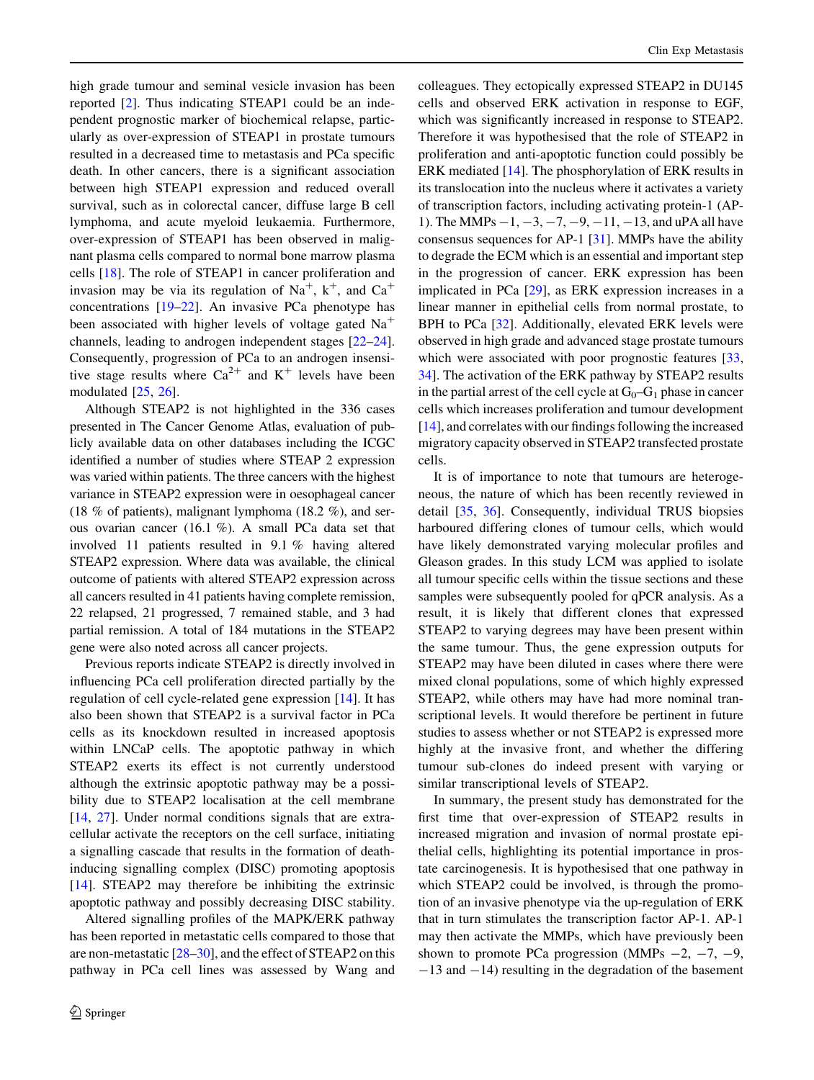high grade tumour and seminal vesicle invasion has been reported [[2\]](#page-10-0). Thus indicating STEAP1 could be an independent prognostic marker of biochemical relapse, particularly as over-expression of STEAP1 in prostate tumours resulted in a decreased time to metastasis and PCa specific death. In other cancers, there is a significant association between high STEAP1 expression and reduced overall survival, such as in colorectal cancer, diffuse large B cell lymphoma, and acute myeloid leukaemia. Furthermore, over-expression of STEAP1 has been observed in malignant plasma cells compared to normal bone marrow plasma cells [[18\]](#page-10-0). The role of STEAP1 in cancer proliferation and invasion may be via its regulation of  $Na^+$ ,  $k^+$ , and  $Ca^+$ concentrations [[19–22](#page-10-0)]. An invasive PCa phenotype has been associated with higher levels of voltage gated  $Na<sup>+</sup>$ channels, leading to androgen independent stages [\[22–24](#page-10-0)]. Consequently, progression of PCa to an androgen insensitive stage results where  $Ca^{2+}$  and  $K^{+}$  levels have been modulated [[25,](#page-10-0) [26\]](#page-10-0).

Although STEAP2 is not highlighted in the 336 cases presented in The Cancer Genome Atlas, evaluation of publicly available data on other databases including the ICGC identified a number of studies where STEAP 2 expression was varied within patients. The three cancers with the highest variance in STEAP2 expression were in oesophageal cancer (18 % of patients), malignant lymphoma (18.2 %), and serous ovarian cancer (16.1 %). A small PCa data set that involved 11 patients resulted in 9.1 % having altered STEAP2 expression. Where data was available, the clinical outcome of patients with altered STEAP2 expression across all cancers resulted in 41 patients having complete remission, 22 relapsed, 21 progressed, 7 remained stable, and 3 had partial remission. A total of 184 mutations in the STEAP2 gene were also noted across all cancer projects.

Previous reports indicate STEAP2 is directly involved in influencing PCa cell proliferation directed partially by the regulation of cell cycle-related gene expression [\[14](#page-10-0)]. It has also been shown that STEAP2 is a survival factor in PCa cells as its knockdown resulted in increased apoptosis within LNCaP cells. The apoptotic pathway in which STEAP2 exerts its effect is not currently understood although the extrinsic apoptotic pathway may be a possibility due to STEAP2 localisation at the cell membrane [\[14](#page-10-0), [27\]](#page-10-0). Under normal conditions signals that are extracellular activate the receptors on the cell surface, initiating a signalling cascade that results in the formation of deathinducing signalling complex (DISC) promoting apoptosis [\[14](#page-10-0)]. STEAP2 may therefore be inhibiting the extrinsic apoptotic pathway and possibly decreasing DISC stability.

Altered signalling profiles of the MAPK/ERK pathway has been reported in metastatic cells compared to those that are non-metastatic [[28–30\]](#page-10-0), and the effect of STEAP2 on this pathway in PCa cell lines was assessed by Wang and colleagues. They ectopically expressed STEAP2 in DU145 cells and observed ERK activation in response to EGF, which was significantly increased in response to STEAP2. Therefore it was hypothesised that the role of STEAP2 in proliferation and anti-apoptotic function could possibly be ERK mediated [\[14](#page-10-0)]. The phosphorylation of ERK results in its translocation into the nucleus where it activates a variety of transcription factors, including activating protein-1 (AP-1). The MMPs  $-1, -3, -7, -9, -11, -13$ , and uPA all have consensus sequences for AP-1 [[31\]](#page-10-0). MMPs have the ability to degrade the ECM which is an essential and important step in the progression of cancer. ERK expression has been implicated in PCa [\[29](#page-10-0)], as ERK expression increases in a linear manner in epithelial cells from normal prostate, to BPH to PCa [[32\]](#page-10-0). Additionally, elevated ERK levels were observed in high grade and advanced stage prostate tumours which were associated with poor prognostic features [[33,](#page-10-0) [34](#page-11-0)]. The activation of the ERK pathway by STEAP2 results in the partial arrest of the cell cycle at  $G_0-G_1$  phase in cancer cells which increases proliferation and tumour development [\[14](#page-10-0)], and correlates with our findings following the increased migratory capacity observed in STEAP2 transfected prostate cells.

It is of importance to note that tumours are heterogeneous, the nature of which has been recently reviewed in detail [\[35](#page-11-0), [36\]](#page-11-0). Consequently, individual TRUS biopsies harboured differing clones of tumour cells, which would have likely demonstrated varying molecular profiles and Gleason grades. In this study LCM was applied to isolate all tumour specific cells within the tissue sections and these samples were subsequently pooled for qPCR analysis. As a result, it is likely that different clones that expressed STEAP2 to varying degrees may have been present within the same tumour. Thus, the gene expression outputs for STEAP2 may have been diluted in cases where there were mixed clonal populations, some of which highly expressed STEAP2, while others may have had more nominal transcriptional levels. It would therefore be pertinent in future studies to assess whether or not STEAP2 is expressed more highly at the invasive front, and whether the differing tumour sub-clones do indeed present with varying or similar transcriptional levels of STEAP2.

In summary, the present study has demonstrated for the first time that over-expression of STEAP2 results in increased migration and invasion of normal prostate epithelial cells, highlighting its potential importance in prostate carcinogenesis. It is hypothesised that one pathway in which STEAP2 could be involved, is through the promotion of an invasive phenotype via the up-regulation of ERK that in turn stimulates the transcription factor AP-1. AP-1 may then activate the MMPs, which have previously been shown to promote PCa progression (MMPs  $-2$ ,  $-7$ ,  $-9$ ,  $-13$  and  $-14$ ) resulting in the degradation of the basement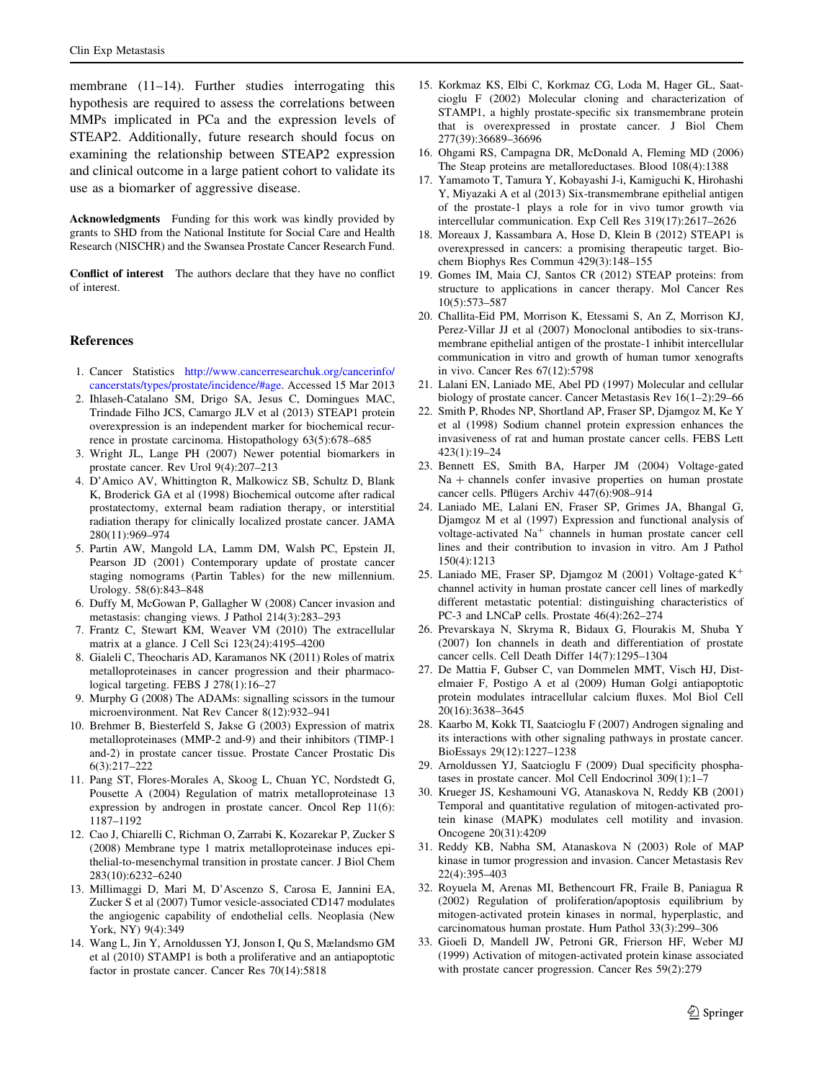<span id="page-10-0"></span>membrane (11–14). Further studies interrogating this hypothesis are required to assess the correlations between MMPs implicated in PCa and the expression levels of STEAP2. Additionally, future research should focus on examining the relationship between STEAP2 expression and clinical outcome in a large patient cohort to validate its use as a biomarker of aggressive disease.

Acknowledgments Funding for this work was kindly provided by grants to SHD from the National Institute for Social Care and Health Research (NISCHR) and the Swansea Prostate Cancer Research Fund.

Conflict of interest The authors declare that they have no conflict of interest.

#### References

- 1. Cancer Statistics [http://www.cancerresearchuk.org/cancerinfo/](http://www.cancerresearchuk.org/cancerinfo/cancerstats/types/prostate/incidence/#age) [cancerstats/types/prostate/incidence/#age.](http://www.cancerresearchuk.org/cancerinfo/cancerstats/types/prostate/incidence/#age) Accessed 15 Mar 2013
- 2. Ihlaseh-Catalano SM, Drigo SA, Jesus C, Domingues MAC, Trindade Filho JCS, Camargo JLV et al (2013) STEAP1 protein overexpression is an independent marker for biochemical recurrence in prostate carcinoma. Histopathology 63(5):678–685
- 3. Wright JL, Lange PH (2007) Newer potential biomarkers in prostate cancer. Rev Urol 9(4):207–213
- 4. D'Amico AV, Whittington R, Malkowicz SB, Schultz D, Blank K, Broderick GA et al (1998) Biochemical outcome after radical prostatectomy, external beam radiation therapy, or interstitial radiation therapy for clinically localized prostate cancer. JAMA 280(11):969–974
- 5. Partin AW, Mangold LA, Lamm DM, Walsh PC, Epstein JI, Pearson JD (2001) Contemporary update of prostate cancer staging nomograms (Partin Tables) for the new millennium. Urology. 58(6):843–848
- 6. Duffy M, McGowan P, Gallagher W (2008) Cancer invasion and metastasis: changing views. J Pathol 214(3):283–293
- 7. Frantz C, Stewart KM, Weaver VM (2010) The extracellular matrix at a glance. J Cell Sci 123(24):4195–4200
- 8. Gialeli C, Theocharis AD, Karamanos NK (2011) Roles of matrix metalloproteinases in cancer progression and their pharmacological targeting. FEBS J 278(1):16–27
- 9. Murphy G (2008) The ADAMs: signalling scissors in the tumour microenvironment. Nat Rev Cancer 8(12):932–941
- 10. Brehmer B, Biesterfeld S, Jakse G (2003) Expression of matrix metalloproteinases (MMP-2 and-9) and their inhibitors (TIMP-1 and-2) in prostate cancer tissue. Prostate Cancer Prostatic Dis 6(3):217–222
- 11. Pang ST, Flores-Morales A, Skoog L, Chuan YC, Nordstedt G, Pousette A (2004) Regulation of matrix metalloproteinase 13 expression by androgen in prostate cancer. Oncol Rep 11(6): 1187–1192
- 12. Cao J, Chiarelli C, Richman O, Zarrabi K, Kozarekar P, Zucker S (2008) Membrane type 1 matrix metalloproteinase induces epithelial-to-mesenchymal transition in prostate cancer. J Biol Chem 283(10):6232–6240
- 13. Millimaggi D, Mari M, D'Ascenzo S, Carosa E, Jannini EA, Zucker S et al (2007) Tumor vesicle-associated CD147 modulates the angiogenic capability of endothelial cells. Neoplasia (New York, NY) 9(4):349
- 14. Wang L, Jin Y, Arnoldussen YJ, Jonson I, Qu S, Mælandsmo GM et al (2010) STAMP1 is both a proliferative and an antiapoptotic factor in prostate cancer. Cancer Res 70(14):5818
- 15. Korkmaz KS, Elbi C, Korkmaz CG, Loda M, Hager GL, Saatcioglu F (2002) Molecular cloning and characterization of STAMP1, a highly prostate-specific six transmembrane protein that is overexpressed in prostate cancer. J Biol Chem 277(39):36689–36696
- 16. Ohgami RS, Campagna DR, McDonald A, Fleming MD (2006) The Steap proteins are metalloreductases. Blood 108(4):1388
- 17. Yamamoto T, Tamura Y, Kobayashi J-i, Kamiguchi K, Hirohashi Y, Miyazaki A et al (2013) Six-transmembrane epithelial antigen of the prostate-1 plays a role for in vivo tumor growth via intercellular communication. Exp Cell Res 319(17):2617–2626
- 18. Moreaux J, Kassambara A, Hose D, Klein B (2012) STEAP1 is overexpressed in cancers: a promising therapeutic target. Biochem Biophys Res Commun 429(3):148–155
- 19. Gomes IM, Maia CJ, Santos CR (2012) STEAP proteins: from structure to applications in cancer therapy. Mol Cancer Res 10(5):573–587
- 20. Challita-Eid PM, Morrison K, Etessami S, An Z, Morrison KJ, Perez-Villar JJ et al (2007) Monoclonal antibodies to six-transmembrane epithelial antigen of the prostate-1 inhibit intercellular communication in vitro and growth of human tumor xenografts in vivo. Cancer Res 67(12):5798
- 21. Lalani EN, Laniado ME, Abel PD (1997) Molecular and cellular biology of prostate cancer. Cancer Metastasis Rev 16(1–2):29–66
- 22. Smith P, Rhodes NP, Shortland AP, Fraser SP, Djamgoz M, Ke Y et al (1998) Sodium channel protein expression enhances the invasiveness of rat and human prostate cancer cells. FEBS Lett 423(1):19–24
- 23. Bennett ES, Smith BA, Harper JM (2004) Voltage-gated  $Na + channels$  confer invasive properties on human prostate cancer cells. Pflügers Archiv 447(6):908-914
- 24. Laniado ME, Lalani EN, Fraser SP, Grimes JA, Bhangal G, Djamgoz M et al (1997) Expression and functional analysis of voltage-activated Na<sup>+</sup> channels in human prostate cancer cell lines and their contribution to invasion in vitro. Am J Pathol 150(4):1213
- 25. Laniado ME, Fraser SP, Djamgoz M (2001) Voltage-gated  $K^+$ channel activity in human prostate cancer cell lines of markedly different metastatic potential: distinguishing characteristics of PC-3 and LNCaP cells. Prostate 46(4):262–274
- 26. Prevarskaya N, Skryma R, Bidaux G, Flourakis M, Shuba Y (2007) Ion channels in death and differentiation of prostate cancer cells. Cell Death Differ 14(7):1295–1304
- 27. De Mattia F, Gubser C, van Dommelen MMT, Visch HJ, Distelmaier F, Postigo A et al (2009) Human Golgi antiapoptotic protein modulates intracellular calcium fluxes. Mol Biol Cell 20(16):3638–3645
- 28. Kaarbo M, Kokk TI, Saatcioglu F (2007) Androgen signaling and its interactions with other signaling pathways in prostate cancer. BioEssays 29(12):1227–1238
- 29. Arnoldussen YJ, Saatcioglu F (2009) Dual specificity phosphatases in prostate cancer. Mol Cell Endocrinol 309(1):1–7
- 30. Krueger JS, Keshamouni VG, Atanaskova N, Reddy KB (2001) Temporal and quantitative regulation of mitogen-activated protein kinase (MAPK) modulates cell motility and invasion. Oncogene 20(31):4209
- 31. Reddy KB, Nabha SM, Atanaskova N (2003) Role of MAP kinase in tumor progression and invasion. Cancer Metastasis Rev 22(4):395–403
- 32. Royuela M, Arenas MI, Bethencourt FR, Fraile B, Paniagua R (2002) Regulation of proliferation/apoptosis equilibrium by mitogen-activated protein kinases in normal, hyperplastic, and carcinomatous human prostate. Hum Pathol 33(3):299–306
- 33. Gioeli D, Mandell JW, Petroni GR, Frierson HF, Weber MJ (1999) Activation of mitogen-activated protein kinase associated with prostate cancer progression. Cancer Res 59(2):279